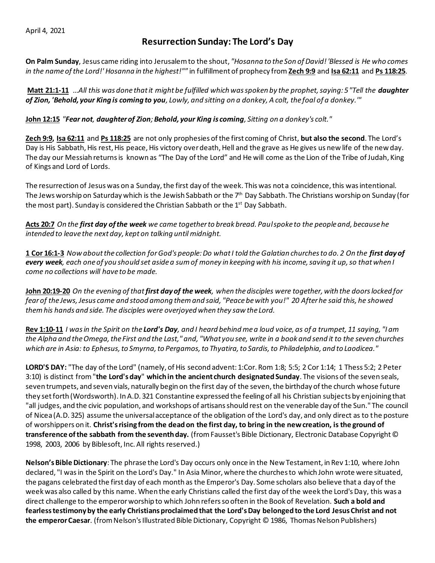## April 4, 2021

## **Resurrection Sunday: The Lord's Day**

**On Palm Sunday**, Jesus came riding into Jerusalem to the shout, *"Hosanna to the Son of David! 'Blessed is He who comes in the name of the Lord!' Hosanna in the highest!"*" in fulfillment of prophecy from **Zech 9:9** and **Isa 62:11** and **Ps 118:25**.

**Matt 21:1-11** *…All this was done that it might be fulfilled which was spoken by the prophet, saying: 5 "Tell the daughter of Zion, 'Behold, your King is coming to you, Lowly, and sitting on a donkey, A colt, the foal of a donkey.'"* 

**John 12:15** *"Fear not, daughter of Zion;Behold, your King is coming, Sitting on a donkey's colt."* 

**Zech 9:9, Isa 62:11** and **Ps 118:25** are not only prophesies of the first coming of Christ, **but also the second**. The Lord's Day is His Sabbath, His rest, His peace, His victory over death, Hell and the grave as He gives us new life of the new day. The day our Messiah returnsis known as "The Day of the Lord" and He will come as the Lion of the Tribe of Judah, King of Kings and Lord of Lords.

The resurrection of Jesus was on a Sunday, the first day of the week. This was not a coincidence, this was intentional. The Jews worship on Saturday which is the Jewish Sabbath or the  $7<sup>th</sup>$  Day Sabbath. The Christians worship on Sunday (for the most part). Sunday is considered the Christian Sabbath or the 1<sup>st</sup> Day Sabbath.

**Acts 20:7** *On the first day of the week we came together to break bread. Paul spoke to the people and, because he intended to leave the next day, kept on talking until midnight.*

**1 Cor 16:1-3** *Now about the collection for God's people: Do what I told the Galatian churches to do. 2 On the first day of every week, each one of you should set aside a sum of money in keeping with his income, saving it up, so that when I come no collections will have to be made.* 

**John 20:19-20** *On the evening of that first day of the week, when the disciples were together, with the doors locked for fear of the Jews, Jesus came and stood among them and said, "Peace be with you!" 20 After he said this, he showed them his hands and side. The disciples were overjoyed when they saw the Lord.* 

**Rev 1:10-11** *I was in the Spirit on the Lord's Day, and I heard behind me a loud voice, as of a trumpet, 11 saying, "I am the Alpha and the Omega, the First and the Last," and, "What you see, write in a book and send it to the seven churches which are in Asia: to Ephesus, to Smyrna, to Pergamos, to Thyatira, to Sardis, to Philadelphia, and to Laodicea."* 

**LORD'S DAY:** "The day of the Lord" (namely, of His second advent: 1:Cor. Rom 1:8; 5:5; 2 Cor 1:14; 1 Thess 5:2; 2 Peter 3:10) is distinct from "**the Lord's day**" **which in the ancient church designated Sunday**. The visions of the seven seals, seven trumpets, and seven vials, naturally begin on the first day of the seven, the birthday of the church whose future they set forth (Wordsworth). In A.D. 321 Constantine expressed the feeling of all his Christian subjects by enjoining that "all judges, and the civic population, and workshops of artisans should rest on the venerable day of the Sun." The council of Nicea (A.D. 325) assume the universal acceptance of the obligation of the Lord's day, and only direct as to the posture of worshippers on it. **Christ's rising from the dead on the first day, to bring in the new creation, is the ground of transference of the sabbath from the seventh day.** (from Fausset's Bible Dictionary, Electronic Database Copyright © 1998, 2003, 2006 by Biblesoft, Inc. All rights reserved.)

**Nelson's Bible Dictionary**: The phrase the Lord's Day occurs only once in the New Testament, in Rev 1:10, where John declared, "I was in the Spirit on the Lord's Day." In Asia Minor, where the churches to which John wrote were situated, the pagans celebrated the first day of each month as the Emperor's Day. Some scholars also believe that a day of the week was also called by this name. When the early Christians called the first day of the week the Lord's Day, this was a direct challenge to the emperor worship to which John refers so often in the Book of Revelation. **Such a bold and fearless testimony by the early Christians proclaimed that the Lord's Day belonged to the Lord Jesus Christ and not the emperor Caesar**. (from Nelson's Illustrated Bible Dictionary, Copyright © 1986, Thomas Nelson Publishers)